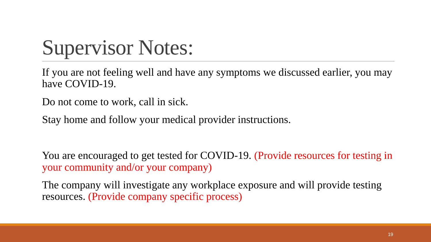## Supervisor Notes:

If you are not feeling well and have any symptoms we discussed earlier, you may have COVID-19.

Do not come to work, call in sick.

Stay home and follow your medical provider instructions.

You are encouraged to get tested for COVID-19. (Provide resources for testing in your community and/or your company)

The company will investigate any workplace exposure and will provide testing resources. (Provide company specific process)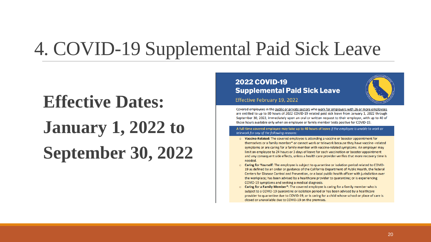### 4. COVID-19 Supplemental Paid Sick Leave

# **Effective Dates: January 1, 2022 to September 30, 2022**

#### **2022 COVID-19 Supplemental Paid Sick Leave**

Effective February 19, 2022

Covered employees in the public or private sectors who work for employers with 26 or more employees are entitled to up to 80 hours of 2022 COVID-19 related paid sick leave from January 1, 2022 through September 30, 2022, immediately upon an oral or written request to their employer, with up to 40 of those hours available only when an employee or family member tests positive for COVID-19.

A full-time covered employee may take up to 40 hours of leave if the employee is unable to work or telework for any of the following reasons:

- $\circ$  Vaccine-Related: The covered employee is attending a vaccine or booster appointment for themselves or a family member\* or cannot work or telework because they have vaccine--related symptoms or are caring for a family member with vaccine-related symptoms. An employer may limit an employee to 24 hours or 3 days of leave for each vaccination or booster appointment and any consequent side effects, unless a health care provider verifies that more recovery time is needed.
- o Caring for Yourself: The employee is subject to quarantine or isolation period related to COVID-19 as defined by an order or guidance of the California Department of Public Health, the federal Centers for Disease Control and Prevention, or a local public health officer with jurisdiction over the workplace; has been advised by a healthcare provider to quarantine; or is experiencing COVID-19 symptoms and seeking a medical diagnosis.
- $\circ$  Caring for a Family Member\*: The covered employee is caring for a family member who is subject to a COVID-19 quarantine or isolation period or has been advised by a healthcare provider to quarantine due to COVID-19, or is caring for a child whose school or place of care is closed or unavailable due to COVID-19 on the premises.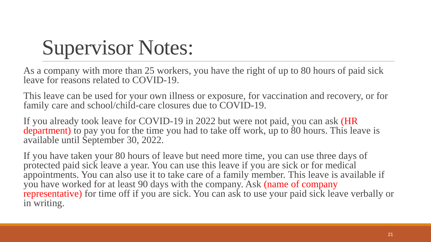### Supervisor Notes:

As a company with more than 25 workers, you have the right of up to 80 hours of paid sick leave for reasons related to COVID-19.

This leave can be used for your own illness or exposure, for vaccination and recovery, or for family care and school/child-care closures due to COVID-19.

If you already took leave for COVID-19 in 2022 but were not paid, you can ask (HR department) to pay you for the time you had to take off work, up to 80 hours. This leave is available until September 30, 2022.

If you have taken your 80 hours of leave but need more time, you can use three days of protected paid sick leave a year. You can use this leave if you are sick or for medical appointments. You can also use it to take care of a family member. This leave is available if you have worked for at least 90 days with the company. Ask (name of company representative) for time off if you are sick. You can ask to use your paid sick leave verbally or in writing.